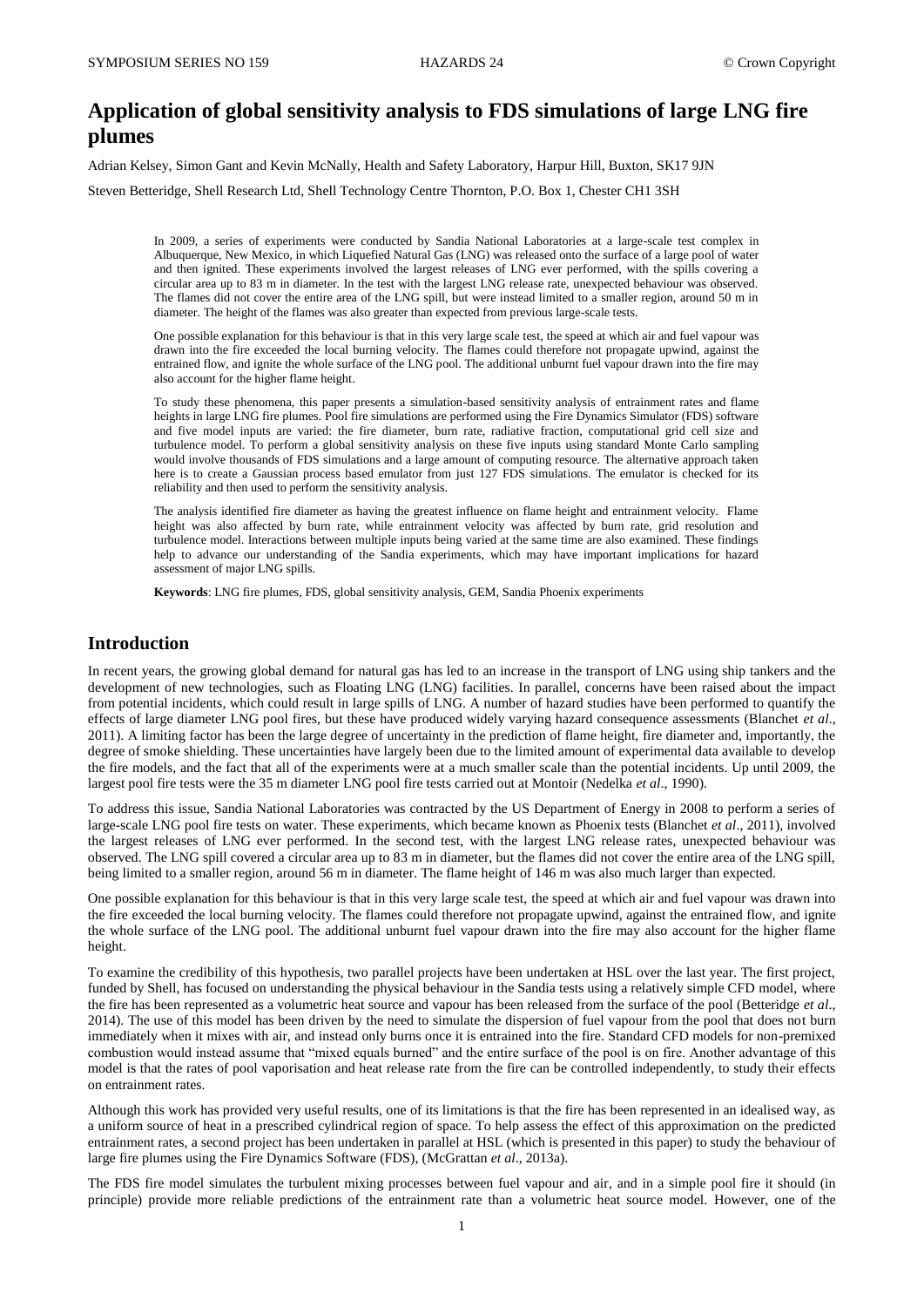# **Application of global sensitivity analysis to FDS simulations of large LNG fire plumes**

Adrian Kelsey, Simon Gant and Kevin McNally, Health and Safety Laboratory, Harpur Hill, Buxton, SK17 9JN

Steven Betteridge, Shell Research Ltd, Shell Technology Centre Thornton, P.O. Box 1, Chester CH1 3SH

In 2009, a series of experiments were conducted by Sandia National Laboratories at a large-scale test complex in Albuquerque, New Mexico, in which Liquefied Natural Gas (LNG) was released onto the surface of a large pool of water and then ignited. These experiments involved the largest releases of LNG ever performed, with the spills covering a circular area up to 83 m in diameter. In the test with the largest LNG release rate, unexpected behaviour was observed. The flames did not cover the entire area of the LNG spill, but were instead limited to a smaller region, around 50 m in diameter. The height of the flames was also greater than expected from previous large-scale tests.

One possible explanation for this behaviour is that in this very large scale test, the speed at which air and fuel vapour was drawn into the fire exceeded the local burning velocity. The flames could therefore not propagate upwind, against the entrained flow, and ignite the whole surface of the LNG pool. The additional unburnt fuel vapour drawn into the fire may also account for the higher flame height.

To study these phenomena, this paper presents a simulation-based sensitivity analysis of entrainment rates and flame heights in large LNG fire plumes. Pool fire simulations are performed using the Fire Dynamics Simulator (FDS) software and five model inputs are varied: the fire diameter, burn rate, radiative fraction, computational grid cell size and turbulence model. To perform a global sensitivity analysis on these five inputs using standard Monte Carlo sampling would involve thousands of FDS simulations and a large amount of computing resource. The alternative approach taken here is to create a Gaussian process based emulator from just 127 FDS simulations. The emulator is checked for its reliability and then used to perform the sensitivity analysis.

The analysis identified fire diameter as having the greatest influence on flame height and entrainment velocity. Flame height was also affected by burn rate, while entrainment velocity was affected by burn rate, grid resolution and turbulence model. Interactions between multiple inputs being varied at the same time are also examined. These findings help to advance our understanding of the Sandia experiments, which may have important implications for hazard assessment of major LNG spills.

**Keywords**: LNG fire plumes, FDS, global sensitivity analysis, GEM, Sandia Phoenix experiments

# **Introduction**

In recent years, the growing global demand for natural gas has led to an increase in the transport of LNG using ship tankers and the development of new technologies, such as Floating LNG (LNG) facilities. In parallel, concerns have been raised about the impact from potential incidents, which could result in large spills of LNG. A number of hazard studies have been performed to quantify the effects of large diameter LNG pool fires, but these have produced widely varying hazard consequence assessments (Blanchet *et al*., 2011). A limiting factor has been the large degree of uncertainty in the prediction of flame height, fire diameter and, importantly, the degree of smoke shielding. These uncertainties have largely been due to the limited amount of experimental data available to develop the fire models, and the fact that all of the experiments were at a much smaller scale than the potential incidents. Up until 2009, the largest pool fire tests were the 35 m diameter LNG pool fire tests carried out at Montoir (Nedelka *et al*., 1990).

To address this issue, Sandia National Laboratories was contracted by the US Department of Energy in 2008 to perform a series of large-scale LNG pool fire tests on water. These experiments, which became known as Phoenix tests (Blanchet *et al*., 2011), involved the largest releases of LNG ever performed. In the second test, with the largest LNG release rates, unexpected behaviour was observed. The LNG spill covered a circular area up to 83 m in diameter, but the flames did not cover the entire area of the LNG spill, being limited to a smaller region, around 56 m in diameter. The flame height of 146 m was also much larger than expected.

One possible explanation for this behaviour is that in this very large scale test, the speed at which air and fuel vapour was drawn into the fire exceeded the local burning velocity. The flames could therefore not propagate upwind, against the entrained flow, and ignite the whole surface of the LNG pool. The additional unburnt fuel vapour drawn into the fire may also account for the higher flame height.

To examine the credibility of this hypothesis, two parallel projects have been undertaken at HSL over the last year. The first project, funded by Shell, has focused on understanding the physical behaviour in the Sandia tests using a relatively simple CFD model, where the fire has been represented as a volumetric heat source and vapour has been released from the surface of the pool (Betteridge *et al*., 2014). The use of this model has been driven by the need to simulate the dispersion of fuel vapour from the pool that does not burn immediately when it mixes with air, and instead only burns once it is entrained into the fire. Standard CFD models for non-premixed combustion would instead assume that "mixed equals burned" and the entire surface of the pool is on fire. Another advantage of this model is that the rates of pool vaporisation and heat release rate from the fire can be controlled independently, to study their effects on entrainment rates.

Although this work has provided very useful results, one of its limitations is that the fire has been represented in an idealised way, as a uniform source of heat in a prescribed cylindrical region of space. To help assess the effect of this approximation on the predicted entrainment rates, a second project has been undertaken in parallel at HSL (which is presented in this paper) to study the behaviour of large fire plumes using the Fire Dynamics Software (FDS), (McGrattan *et al*., 2013a).

The FDS fire model simulates the turbulent mixing processes between fuel vapour and air, and in a simple pool fire it should (in principle) provide more reliable predictions of the entrainment rate than a volumetric heat source model. However, one of the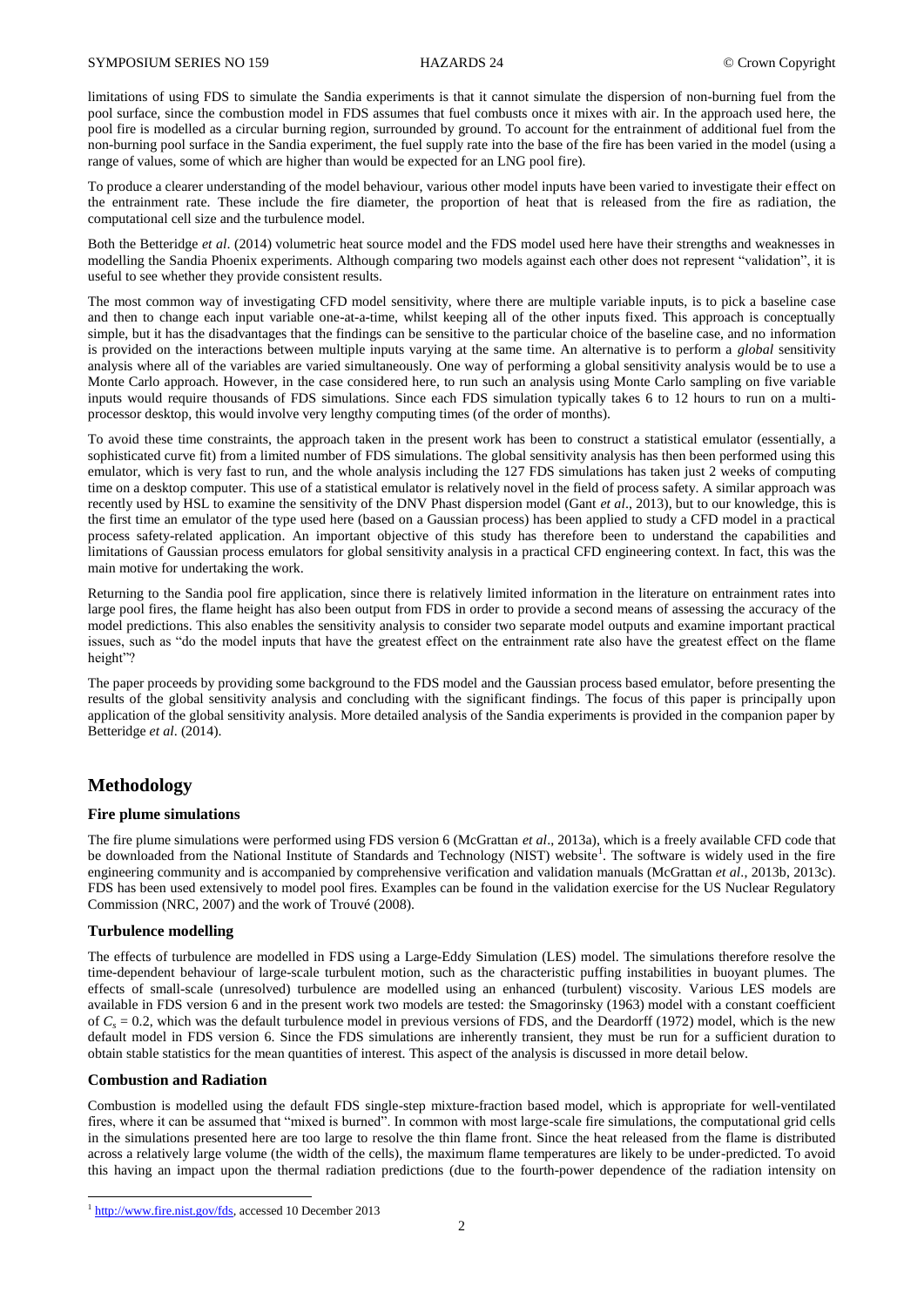limitations of using FDS to simulate the Sandia experiments is that it cannot simulate the dispersion of non-burning fuel from the pool surface, since the combustion model in FDS assumes that fuel combusts once it mixes with air. In the approach used here, the pool fire is modelled as a circular burning region, surrounded by ground. To account for the entrainment of additional fuel from the non-burning pool surface in the Sandia experiment, the fuel supply rate into the base of the fire has been varied in the model (using a range of values, some of which are higher than would be expected for an LNG pool fire).

To produce a clearer understanding of the model behaviour, various other model inputs have been varied to investigate their effect on the entrainment rate. These include the fire diameter, the proportion of heat that is released from the fire as radiation, the computational cell size and the turbulence model.

Both the Betteridge *et al*. (2014) volumetric heat source model and the FDS model used here have their strengths and weaknesses in modelling the Sandia Phoenix experiments. Although comparing two models against each other does not represent "validation", it is useful to see whether they provide consistent results.

The most common way of investigating CFD model sensitivity, where there are multiple variable inputs, is to pick a baseline case and then to change each input variable one-at-a-time, whilst keeping all of the other inputs fixed. This approach is conceptually simple, but it has the disadvantages that the findings can be sensitive to the particular choice of the baseline case, and no information is provided on the interactions between multiple inputs varying at the same time. An alternative is to perform a *global* sensitivity analysis where all of the variables are varied simultaneously. One way of performing a global sensitivity analysis would be to use a Monte Carlo approach. However, in the case considered here, to run such an analysis using Monte Carlo sampling on five variable inputs would require thousands of FDS simulations. Since each FDS simulation typically takes 6 to 12 hours to run on a multiprocessor desktop, this would involve very lengthy computing times (of the order of months).

To avoid these time constraints, the approach taken in the present work has been to construct a statistical emulator (essentially, a sophisticated curve fit) from a limited number of FDS simulations. The global sensitivity analysis has then been performed using this emulator, which is very fast to run, and the whole analysis including the 127 FDS simulations has taken just 2 weeks of computing time on a desktop computer. This use of a statistical emulator is relatively novel in the field of process safety. A similar approach was recently used by HSL to examine the sensitivity of the DNV Phast dispersion model (Gant *et al*., 2013), but to our knowledge, this is the first time an emulator of the type used here (based on a Gaussian process) has been applied to study a CFD model in a practical process safety-related application. An important objective of this study has therefore been to understand the capabilities and limitations of Gaussian process emulators for global sensitivity analysis in a practical CFD engineering context. In fact, this was the main motive for undertaking the work.

Returning to the Sandia pool fire application, since there is relatively limited information in the literature on entrainment rates into large pool fires, the flame height has also been output from FDS in order to provide a second means of assessing the accuracy of the model predictions. This also enables the sensitivity analysis to consider two separate model outputs and examine important practical issues, such as "do the model inputs that have the greatest effect on the entrainment rate also have the greatest effect on the flame height"?

The paper proceeds by providing some background to the FDS model and the Gaussian process based emulator, before presenting the results of the global sensitivity analysis and concluding with the significant findings. The focus of this paper is principally upon application of the global sensitivity analysis. More detailed analysis of the Sandia experiments is provided in the companion paper by Betteridge *et al*. (2014).

# **Methodology**

### **Fire plume simulations**

The fire plume simulations were performed using FDS version 6 (McGrattan *et al*., 2013a), which is a freely available CFD code that be downloaded from the National Institute of Standards and Technology (NIST) website<sup>1</sup>. The software is widely used in the fire engineering community and is accompanied by comprehensive verification and validation manuals (McGrattan *et al*., 2013b, 2013c). FDS has been used extensively to model pool fires. Examples can be found in the validation exercise for the US Nuclear Regulatory Commission (NRC, 2007) and the work of Trouvé (2008).

#### **Turbulence modelling**

The effects of turbulence are modelled in FDS using a Large-Eddy Simulation (LES) model. The simulations therefore resolve the time-dependent behaviour of large-scale turbulent motion, such as the characteristic puffing instabilities in buoyant plumes. The effects of small-scale (unresolved) turbulence are modelled using an enhanced (turbulent) viscosity. Various LES models are available in FDS version 6 and in the present work two models are tested: the Smagorinsky (1963) model with a constant coefficient of  $C_s = 0.2$ , which was the default turbulence model in previous versions of FDS, and the Deardorff (1972) model, which is the new default model in FDS version 6. Since the FDS simulations are inherently transient, they must be run for a sufficient duration to obtain stable statistics for the mean quantities of interest. This aspect of the analysis is discussed in more detail below.

## **Combustion and Radiation**

-

Combustion is modelled using the default FDS single-step mixture-fraction based model, which is appropriate for well-ventilated fires, where it can be assumed that "mixed is burned". In common with most large-scale fire simulations, the computational grid cells in the simulations presented here are too large to resolve the thin flame front. Since the heat released from the flame is distributed across a relatively large volume (the width of the cells), the maximum flame temperatures are likely to be under-predicted. To avoid this having an impact upon the thermal radiation predictions (due to the fourth-power dependence of the radiation intensity on

<sup>&</sup>lt;sup>1</sup> [http://www.fire.nist.gov/fds,](http://www.fire.nist.gov/fds) accessed 10 December 2013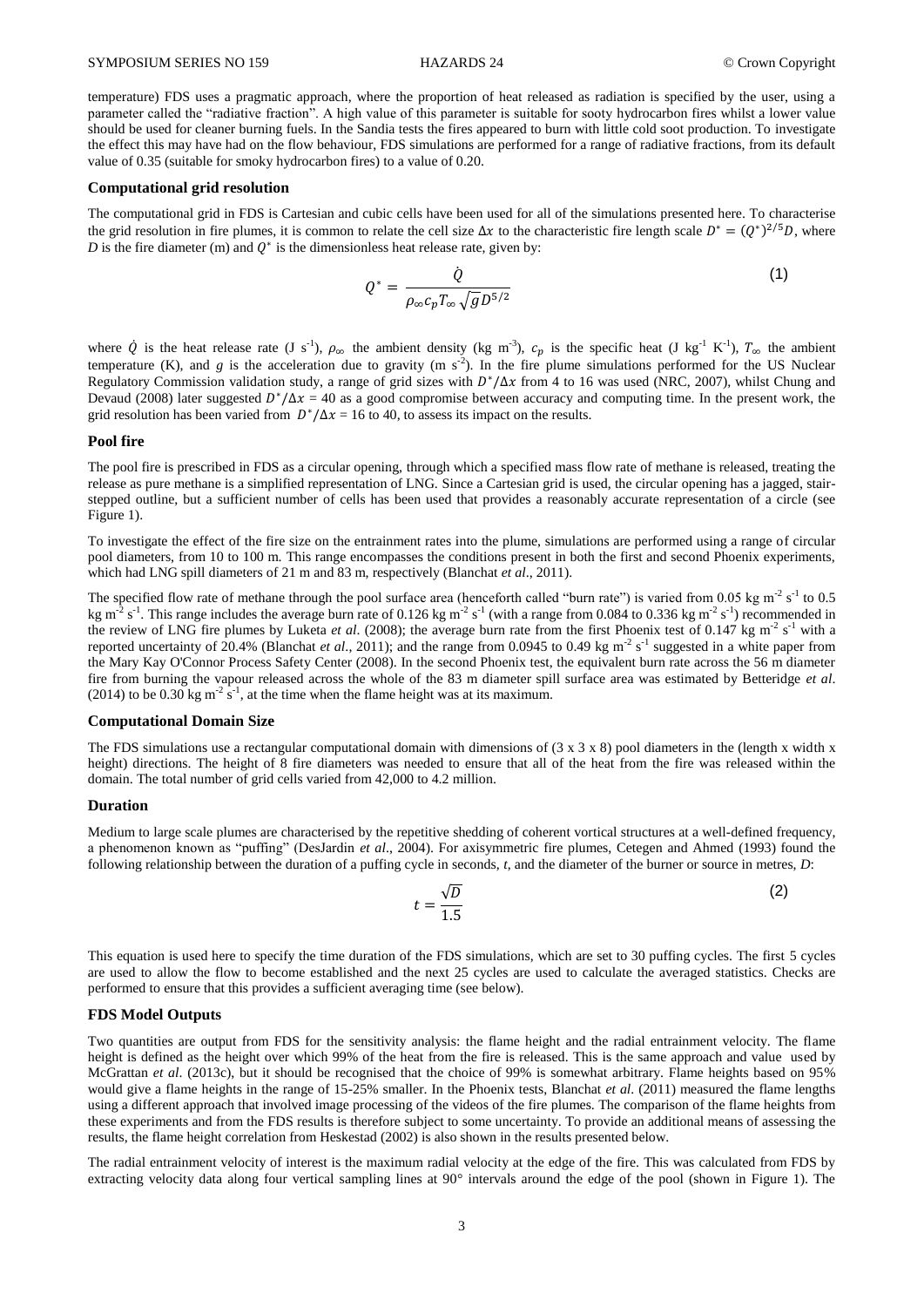temperature) FDS uses a pragmatic approach, where the proportion of heat released as radiation is specified by the user, using a parameter called the "radiative fraction". A high value of this parameter is suitable for sooty hydrocarbon fires whilst a lower value should be used for cleaner burning fuels. In the Sandia tests the fires appeared to burn with little cold soot production. To investigate the effect this may have had on the flow behaviour, FDS simulations are performed for a range of radiative fractions, from its default value of 0.35 (suitable for smoky hydrocarbon fires) to a value of 0.20.

#### **Computational grid resolution**

The computational grid in FDS is Cartesian and cubic cells have been used for all of the simulations presented here. To characterise the grid resolution in fire plumes, it is common to relate the cell size  $\Delta x$  to the characteristic fire length scale  $D^* = (Q^*)^{2/5}D$ , where  $D$  is the fire diameter (m) and  $Q^*$  is the dimensionless heat release rate, given by:

$$
Q^* = \frac{\dot{Q}}{\rho_{\infty} c_p T_{\infty} \sqrt{g} D^{5/2}}
$$
 (1)

where  $\dot{Q}$  is the heat release rate (J s<sup>-1</sup>),  $\rho_{\infty}$  the ambient density (kg m<sup>-3</sup>),  $c_p$  is the specific heat (J kg<sup>-1</sup> K<sup>-1</sup>),  $T_{\infty}$  the ambient temperature (K), and *g* is the acceleration due to gravity (m s<sup>-2</sup>). In the fire plume simulations performed for the US Nuclear Regulatory Commission validation study, a range of grid sizes with  $D^*/\Delta x$  from 4 to 16 was used (NRC, 2007), whilst Chung and Devaud (2008) later suggested  $D^*/\Delta x = 40$  as a good compromise between accuracy and computing time. In the present work, the grid resolution has been varied from  $D^*/\Delta x = 16$  to 40, to assess its impact on the results.

#### **Pool fire**

The pool fire is prescribed in FDS as a circular opening, through which a specified mass flow rate of methane is released, treating the release as pure methane is a simplified representation of LNG. Since a Cartesian grid is used, the circular opening has a jagged, stairstepped outline, but a sufficient number of cells has been used that provides a reasonably accurate representation of a circle (see Figure 1).

To investigate the effect of the fire size on the entrainment rates into the plume, simulations are performed using a range of circular pool diameters, from 10 to 100 m. This range encompasses the conditions present in both the first and second Phoenix experiments, which had LNG spill diameters of 21 m and 83 m, respectively (Blanchat *et al*., 2011).

The specified flow rate of methane through the pool surface area (henceforth called "burn rate") is varied from 0.05 kg m<sup>-2</sup> s<sup>-1</sup> to 0.5 kg m<sup>-2</sup> s<sup>-1</sup>. This range includes the average burn rate of 0.126 kg m<sup>-2</sup> s<sup>-1</sup> (with a range from 0.084 to 0.336 kg m<sup>-2</sup> s<sup>-1</sup>) recommended in the review of LNG fire plumes by Luketa *et al.* (2008); the average burn rate from the first Phoenix test of 0.147 kg m<sup>-2</sup> s<sup>-1</sup> with a reported uncertainty of 20.4% (Blanchat *et al.*, 2011); and the range from 0.0945 to 0.49 kg m<sup>-2</sup> s<sup>-1</sup> suggested in a white paper from the Mary Kay O'Connor Process Safety Center (2008). In the second Phoenix test, the equivalent burn rate across the 56 m diameter fire from burning the vapour released across the whole of the 83 m diameter spill surface area was estimated by Betteridge *et al*. (2014) to be 0.30 kg m<sup>-2</sup> s<sup>-1</sup>, at the time when the flame height was at its maximum.

#### **Computational Domain Size**

The FDS simulations use a rectangular computational domain with dimensions of  $(3 \times 3 \times 8)$  pool diameters in the (length x width x height) directions. The height of 8 fire diameters was needed to ensure that all of the heat from the fire was released within the domain. The total number of grid cells varied from 42,000 to 4.2 million.

### **Duration**

Medium to large scale plumes are characterised by the repetitive shedding of coherent vortical structures at a well-defined frequency, a phenomenon known as "puffing" (DesJardin *et al*., 2004). For axisymmetric fire plumes, Cetegen and Ahmed (1993) found the following relationship between the duration of a puffing cycle in seconds, *t*, and the diameter of the burner or source in metres, *D*:

$$
t = \frac{\sqrt{D}}{1.5} \tag{2}
$$

This equation is used here to specify the time duration of the FDS simulations, which are set to 30 puffing cycles. The first 5 cycles are used to allow the flow to become established and the next 25 cycles are used to calculate the averaged statistics. Checks are performed to ensure that this provides a sufficient averaging time (see below).

# **FDS Model Outputs**

Two quantities are output from FDS for the sensitivity analysis: the flame height and the radial entrainment velocity. The flame height is defined as the height over which 99% of the heat from the fire is released. This is the same approach and value used by McGrattan *et al*. (2013c), but it should be recognised that the choice of 99% is somewhat arbitrary. Flame heights based on 95% would give a flame heights in the range of 15-25% smaller. In the Phoenix tests, Blanchat *et al*. (2011) measured the flame lengths using a different approach that involved image processing of the videos of the fire plumes. The comparison of the flame heights from these experiments and from the FDS results is therefore subject to some uncertainty. To provide an additional means of assessing the results, the flame height correlation from Heskestad (2002) is also shown in the results presented below.

The radial entrainment velocity of interest is the maximum radial velocity at the edge of the fire. This was calculated from FDS by extracting velocity data along four vertical sampling lines at 90° intervals around the edge of the pool (shown in Figure 1). The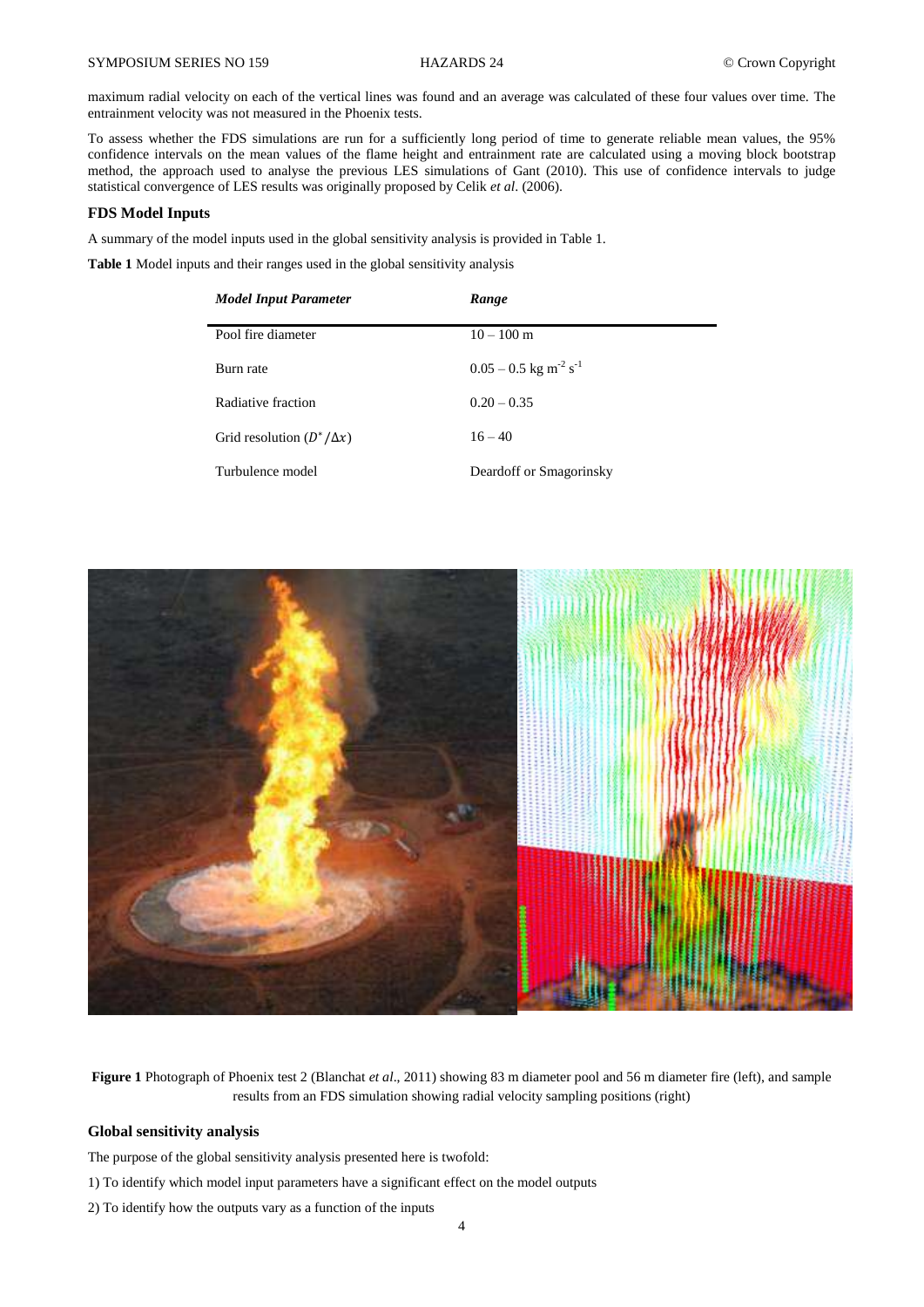maximum radial velocity on each of the vertical lines was found and an average was calculated of these four values over time. The entrainment velocity was not measured in the Phoenix tests.

To assess whether the FDS simulations are run for a sufficiently long period of time to generate reliable mean values, the 95% confidence intervals on the mean values of the flame height and entrainment rate are calculated using a moving block bootstrap method, the approach used to analyse the previous LES simulations of Gant (2010). This use of confidence intervals to judge statistical convergence of LES results was originally proposed by Celik *et al*. (2006).

# **FDS Model Inputs**

A summary of the model inputs used in the global sensitivity analysis is provided in Table 1.

**Table 1** Model inputs and their ranges used in the global sensitivity analysis

| <b>Model Input Parameter</b>     | Range                                           |
|----------------------------------|-------------------------------------------------|
| Pool fire diameter               | $10 - 100$ m                                    |
| Burn rate                        | $0.05 - 0.5$ kg m <sup>-2</sup> s <sup>-1</sup> |
| Radiative fraction               | $0.20 - 0.35$                                   |
| Grid resolution $(D^*/\Delta x)$ | $16 - 40$                                       |
| Turbulence model                 | Deardoff or Smagorinsky                         |



**Figure 1** Photograph of Phoenix test 2 (Blanchat *et al*., 2011) showing 83 m diameter pool and 56 m diameter fire (left), and sample results from an FDS simulation showing radial velocity sampling positions (right)

# **Global sensitivity analysis**

The purpose of the global sensitivity analysis presented here is twofold:

- 1) To identify which model input parameters have a significant effect on the model outputs
- 2) To identify how the outputs vary as a function of the inputs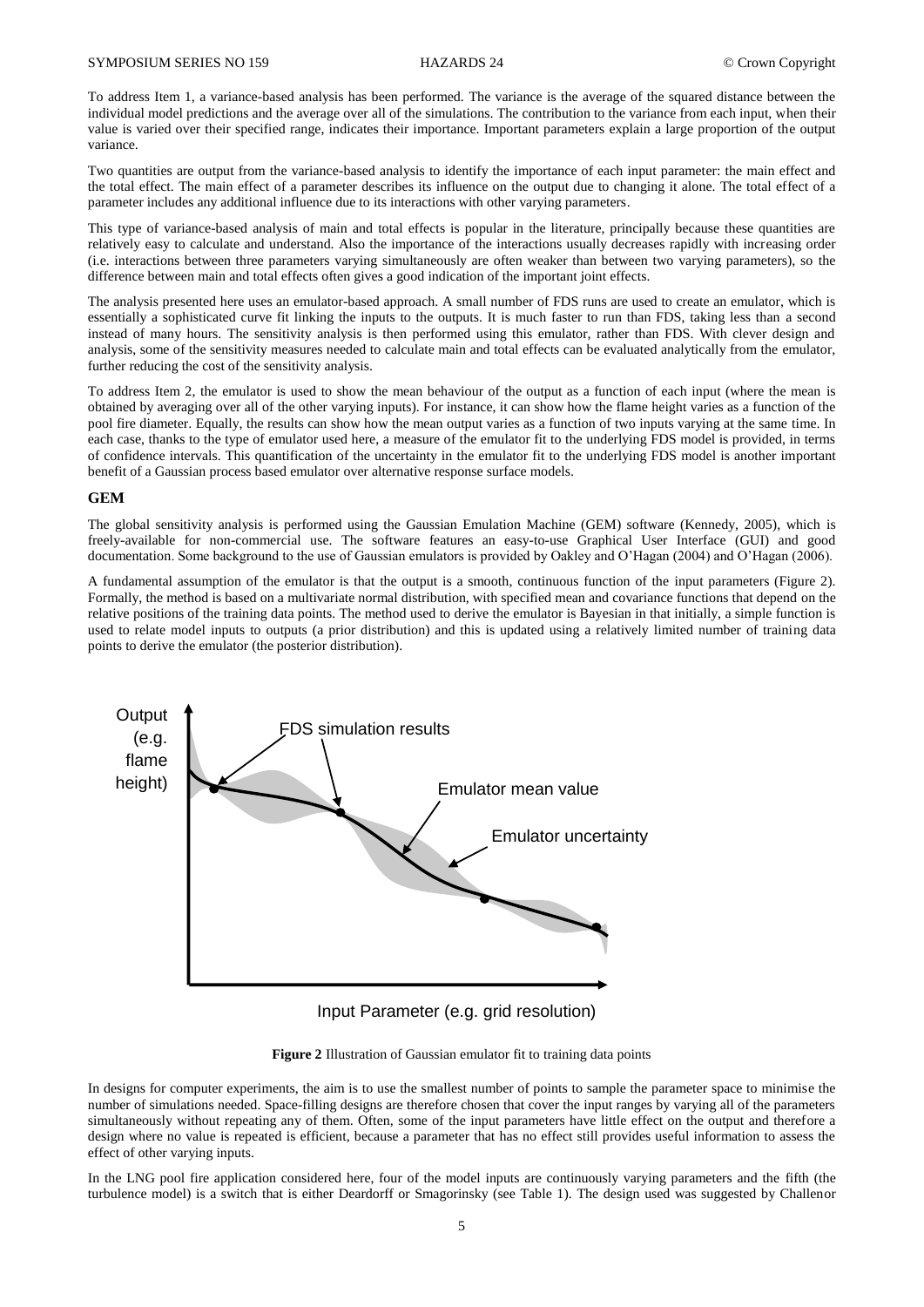To address Item 1, a variance-based analysis has been performed. The variance is the average of the squared distance between the individual model predictions and the average over all of the simulations. The contribution to the variance from each input, when their value is varied over their specified range, indicates their importance. Important parameters explain a large proportion of the output variance.

Two quantities are output from the variance-based analysis to identify the importance of each input parameter: the main effect and the total effect. The main effect of a parameter describes its influence on the output due to changing it alone. The total effect of a parameter includes any additional influence due to its interactions with other varying parameters.

This type of variance-based analysis of main and total effects is popular in the literature, principally because these quantities are relatively easy to calculate and understand. Also the importance of the interactions usually decreases rapidly with increasing order (i.e. interactions between three parameters varying simultaneously are often weaker than between two varying parameters), so the difference between main and total effects often gives a good indication of the important joint effects.

The analysis presented here uses an emulator-based approach. A small number of FDS runs are used to create an emulator, which is essentially a sophisticated curve fit linking the inputs to the outputs. It is much faster to run than FDS, taking less than a second instead of many hours. The sensitivity analysis is then performed using this emulator, rather than FDS. With clever design and analysis, some of the sensitivity measures needed to calculate main and total effects can be evaluated analytically from the emulator, further reducing the cost of the sensitivity analysis.

To address Item 2, the emulator is used to show the mean behaviour of the output as a function of each input (where the mean is obtained by averaging over all of the other varying inputs). For instance, it can show how the flame height varies as a function of the pool fire diameter. Equally, the results can show how the mean output varies as a function of two inputs varying at the same time. In each case, thanks to the type of emulator used here, a measure of the emulator fit to the underlying FDS model is provided, in terms of confidence intervals. This quantification of the uncertainty in the emulator fit to the underlying FDS model is another important benefit of a Gaussian process based emulator over alternative response surface models.

# **GEM**

The global sensitivity analysis is performed using the Gaussian Emulation Machine (GEM) software (Kennedy, 2005), which is freely-available for non-commercial use. The software features an easy-to-use Graphical User Interface (GUI) and good documentation. Some background to the use of Gaussian emulators is provided by Oakley and O'Hagan (2004) and O'Hagan (2006).

A fundamental assumption of the emulator is that the output is a smooth, continuous function of the input parameters (Figure 2). Formally, the method is based on a multivariate normal distribution, with specified mean and covariance functions that depend on the relative positions of the training data points. The method used to derive the emulator is Bayesian in that initially, a simple function is used to relate model inputs to outputs (a prior distribution) and this is updated using a relatively limited number of training data points to derive the emulator (the posterior distribution).



Input Parameter (e.g. grid resolution)

**Figure 2** Illustration of Gaussian emulator fit to training data points

In designs for computer experiments, the aim is to use the smallest number of points to sample the parameter space to minimise the number of simulations needed. Space-filling designs are therefore chosen that cover the input ranges by varying all of the parameters simultaneously without repeating any of them. Often, some of the input parameters have little effect on the output and therefore a design where no value is repeated is efficient, because a parameter that has no effect still provides useful information to assess the effect of other varying inputs.

In the LNG pool fire application considered here, four of the model inputs are continuously varying parameters and the fifth (the turbulence model) is a switch that is either Deardorff or Smagorinsky (see Table 1). The design used was suggested by Challenor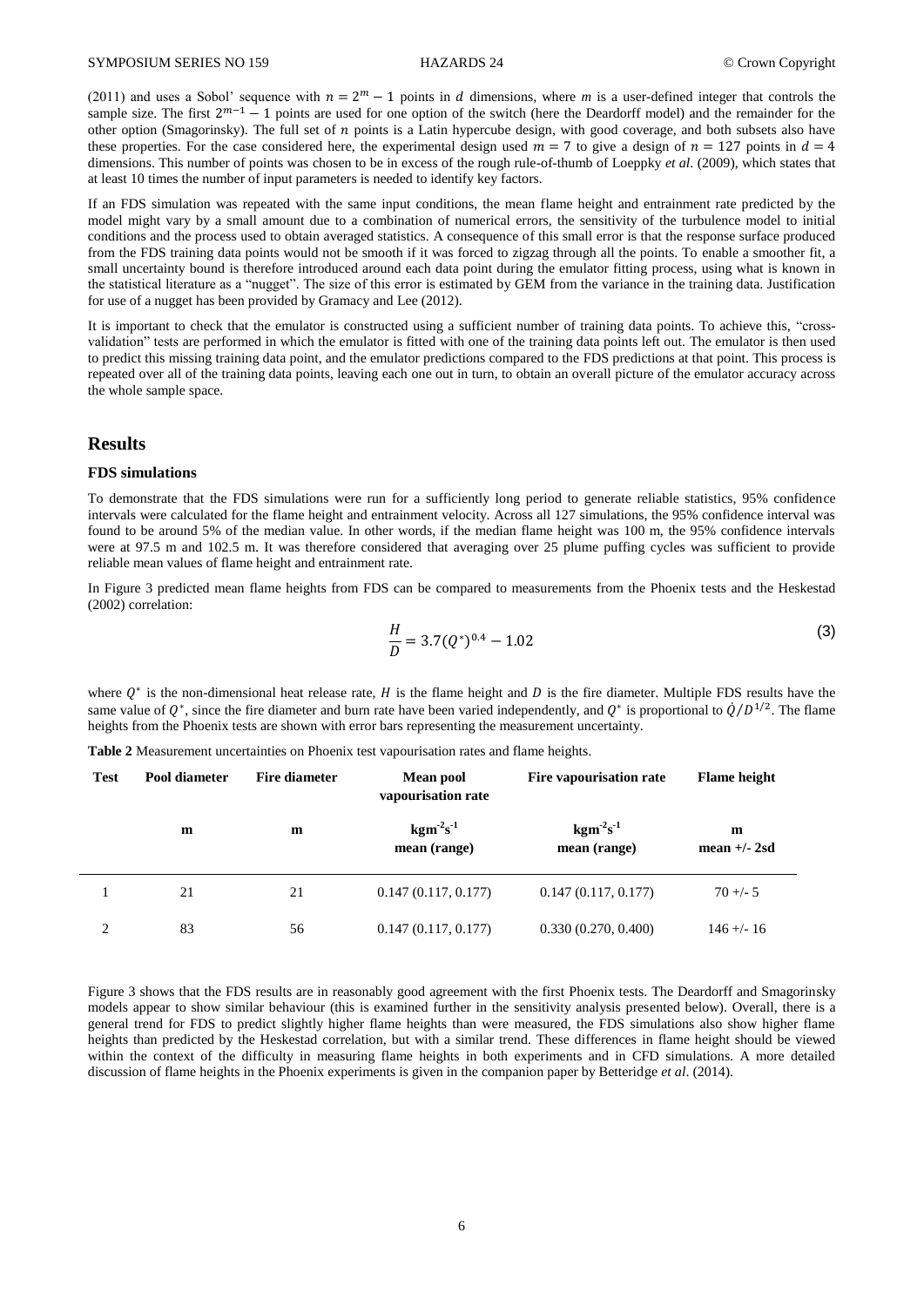(2011) and uses a Sobol' sequence with  $n = 2^m - 1$  points in d dimensions, where m is a user-defined integer that controls the sample size. The first  $2^{m-1} - 1$  points are used for one option of the switch (here the Deardorff model) and the remainder for the other option (Smagorinsky). The full set of  $n$  points is a Latin hypercube design, with good coverage, and both subsets also have these properties. For the case considered here, the experimental design used  $m = 7$  to give a design of  $n = 127$  points in  $d = 4$ dimensions. This number of points was chosen to be in excess of the rough rule-of-thumb of Loeppky *et al*. (2009), which states that at least 10 times the number of input parameters is needed to identify key factors.

If an FDS simulation was repeated with the same input conditions, the mean flame height and entrainment rate predicted by the model might vary by a small amount due to a combination of numerical errors, the sensitivity of the turbulence model to initial conditions and the process used to obtain averaged statistics. A consequence of this small error is that the response surface produced from the FDS training data points would not be smooth if it was forced to zigzag through all the points. To enable a smoother fit, a small uncertainty bound is therefore introduced around each data point during the emulator fitting process, using what is known in the statistical literature as a "nugget". The size of this error is estimated by GEM from the variance in the training data. Justification for use of a nugget has been provided by Gramacy and Lee (2012).

It is important to check that the emulator is constructed using a sufficient number of training data points. To achieve this, "crossvalidation" tests are performed in which the emulator is fitted with one of the training data points left out. The emulator is then used to predict this missing training data point, and the emulator predictions compared to the FDS predictions at that point. This process is repeated over all of the training data points, leaving each one out in turn, to obtain an overall picture of the emulator accuracy across the whole sample space.

# **Results**

#### **FDS simulations**

To demonstrate that the FDS simulations were run for a sufficiently long period to generate reliable statistics, 95% confidence intervals were calculated for the flame height and entrainment velocity. Across all 127 simulations, the 95% confidence interval was found to be around 5% of the median value. In other words, if the median flame height was 100 m, the 95% confidence intervals were at 97.5 m and 102.5 m. It was therefore considered that averaging over 25 plume puffing cycles was sufficient to provide reliable mean values of flame height and entrainment rate.

In Figure 3 predicted mean flame heights from FDS can be compared to measurements from the Phoenix tests and the Heskestad (2002) correlation:

$$
\frac{H}{D} = 3.7(Q^*)^{0.4} - 1.02\tag{3}
$$

where  $Q^*$  is the non-dimensional heat release rate, H is the flame height and D is the fire diameter. Multiple FDS results have the same value of  $Q^*$ , since the fire diameter and burn rate have been varied independently, and  $Q^*$  is proportional to  $\dot{Q}/D^{1/2}$ . The flame heights from the Phoenix tests are shown with error bars representing the measurement uncertainty.

**Table 2** Measurement uncertainties on Phoenix test vapourisation rates and flame heights.

| <b>Test</b> | Pool diameter | Fire diameter | <b>Mean pool</b><br>vapourisation rate          | Fire vapourisation rate                         | <b>Flame</b> height |
|-------------|---------------|---------------|-------------------------------------------------|-------------------------------------------------|---------------------|
|             | m             | m             | $\mathrm{kgm}^2\mathrm{s}^{-1}$<br>mean (range) | $\mathrm{kgm}^2\mathrm{s}^{-1}$<br>mean (range) | m<br>mean $+/- 2sd$ |
|             | 21            | 21            | 0.147(0.117, 0.177)                             | 0.147(0.117, 0.177)                             | $70 + -5$           |
| 2           | 83            | 56            | 0.147(0.117, 0.177)                             | 0.330(0.270, 0.400)                             | $146 + - 16$        |

Figure 3 shows that the FDS results are in reasonably good agreement with the first Phoenix tests. The Deardorff and Smagorinsky models appear to show similar behaviour (this is examined further in the sensitivity analysis presented below). Overall, there is a general trend for FDS to predict slightly higher flame heights than were measured, the FDS simulations also show higher flame heights than predicted by the Heskestad correlation, but with a similar trend. These differences in flame height should be viewed within the context of the difficulty in measuring flame heights in both experiments and in CFD simulations. A more detailed discussion of flame heights in the Phoenix experiments is given in the companion paper by Betteridge *et al*. (2014).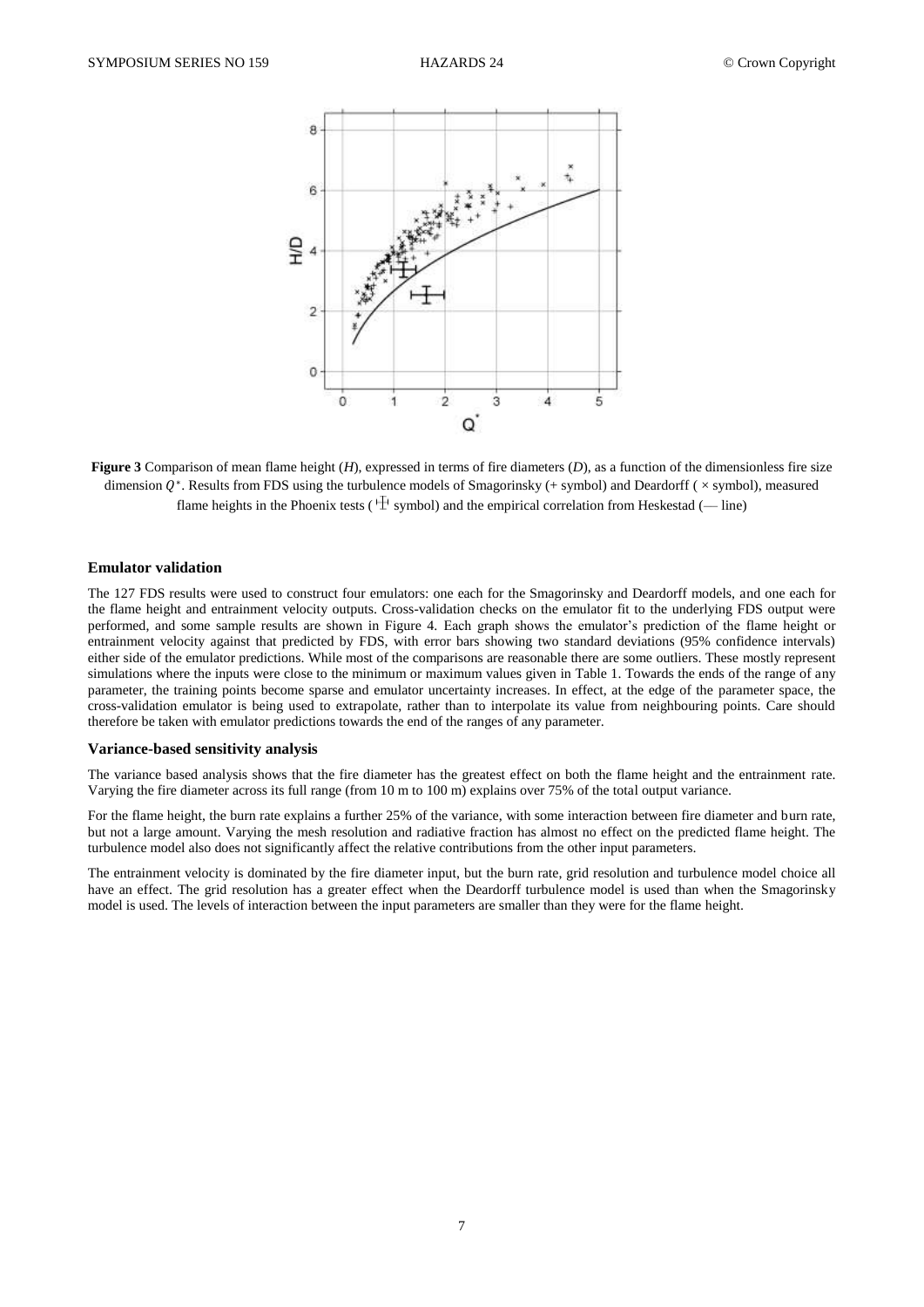

**Figure 3** Comparison of mean flame height (*H*), expressed in terms of fire diameters (*D*), as a function of the dimensionless fire size dimension  $Q^*$ . Results from FDS using the turbulence models of Smagorinsky (+ symbol) and Deardorff ( $\times$  symbol), measured flame heights in the Phoenix tests ( $\Psi$  symbol) and the empirical correlation from Heskestad (— line)

# **Emulator validation**

The 127 FDS results were used to construct four emulators: one each for the Smagorinsky and Deardorff models, and one each for the flame height and entrainment velocity outputs. Cross-validation checks on the emulator fit to the underlying FDS output were performed, and some sample results are shown in Figure 4. Each graph shows the emulator's prediction of the flame height or entrainment velocity against that predicted by FDS, with error bars showing two standard deviations (95% confidence intervals) either side of the emulator predictions. While most of the comparisons are reasonable there are some outliers. These mostly represent simulations where the inputs were close to the minimum or maximum values given in Table 1. Towards the ends of the range of any parameter, the training points become sparse and emulator uncertainty increases. In effect, at the edge of the parameter space, the cross-validation emulator is being used to extrapolate, rather than to interpolate its value from neighbouring points. Care should therefore be taken with emulator predictions towards the end of the ranges of any parameter.

#### **Variance-based sensitivity analysis**

The variance based analysis shows that the fire diameter has the greatest effect on both the flame height and the entrainment rate. Varying the fire diameter across its full range (from 10 m to 100 m) explains over 75% of the total output variance.

For the flame height, the burn rate explains a further 25% of the variance, with some interaction between fire diameter and burn rate, but not a large amount. Varying the mesh resolution and radiative fraction has almost no effect on the predicted flame height. The turbulence model also does not significantly affect the relative contributions from the other input parameters.

The entrainment velocity is dominated by the fire diameter input, but the burn rate, grid resolution and turbulence model choice all have an effect. The grid resolution has a greater effect when the Deardorff turbulence model is used than when the Smagorinsky model is used. The levels of interaction between the input parameters are smaller than they were for the flame height.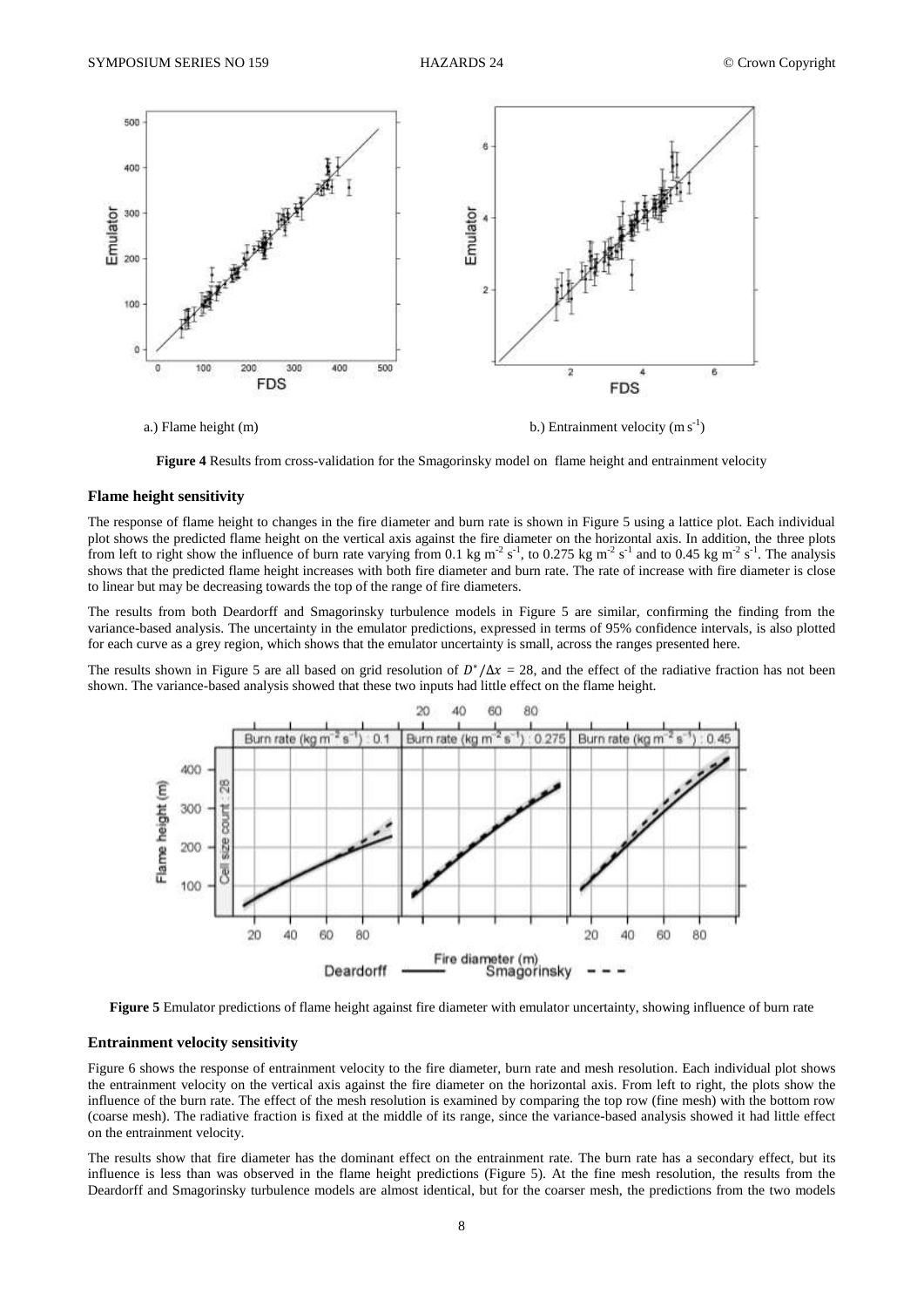

**Figure 4** Results from cross-validation for the Smagorinsky model on flame height and entrainment velocity

### **Flame height sensitivity**

The response of flame height to changes in the fire diameter and burn rate is shown in Figure 5 using a lattice plot. Each individual plot shows the predicted flame height on the vertical axis against the fire diameter on the horizontal axis. In addition, the three plots from left to right show the influence of burn rate varying from 0.1 kg m<sup>-2</sup> s<sup>-1</sup>, to 0.275 kg m<sup>-2</sup> s<sup>-1</sup> and to 0.45 kg m<sup>-2</sup> s<sup>-1</sup>. The analysis shows that the predicted flame height increases with both fire diameter and burn rate. The rate of increase with fire diameter is close to linear but may be decreasing towards the top of the range of fire diameters.

The results from both Deardorff and Smagorinsky turbulence models in Figure 5 are similar, confirming the finding from the variance-based analysis. The uncertainty in the emulator predictions, expressed in terms of 95% confidence intervals, is also plotted for each curve as a grey region, which shows that the emulator uncertainty is small, across the ranges presented here.

The results shown in Figure 5 are all based on grid resolution of  $D^*/\Delta x = 28$ , and the effect of the radiative fraction has not been shown. The variance-based analysis showed that these two inputs had little effect on the flame height.



**Figure 5** Emulator predictions of flame height against fire diameter with emulator uncertainty, showing influence of burn rate

# **Entrainment velocity sensitivity**

Figure 6 shows the response of entrainment velocity to the fire diameter, burn rate and mesh resolution. Each individual plot shows the entrainment velocity on the vertical axis against the fire diameter on the horizontal axis. From left to right, the plots show the influence of the burn rate. The effect of the mesh resolution is examined by comparing the top row (fine mesh) with the bottom row (coarse mesh). The radiative fraction is fixed at the middle of its range, since the variance-based analysis showed it had little effect on the entrainment velocity.

The results show that fire diameter has the dominant effect on the entrainment rate. The burn rate has a secondary effect, but its influence is less than was observed in the flame height predictions (Figure 5). At the fine mesh resolution, the results from the Deardorff and Smagorinsky turbulence models are almost identical, but for the coarser mesh, the predictions from the two models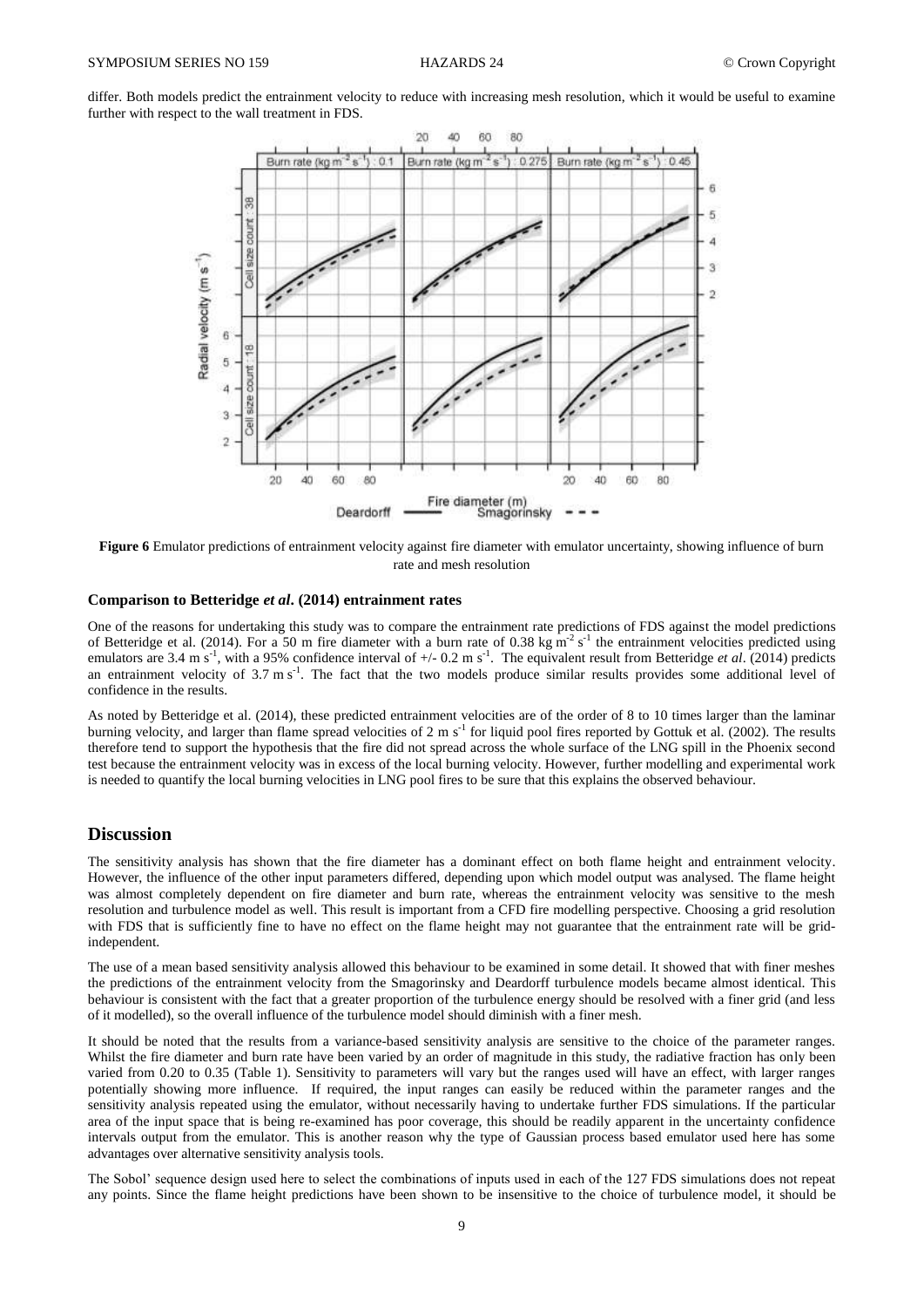differ. Both models predict the entrainment velocity to reduce with increasing mesh resolution, which it would be useful to examine further with respect to the wall treatment in FDS.



**Figure 6** Emulator predictions of entrainment velocity against fire diameter with emulator uncertainty, showing influence of burn rate and mesh resolution

#### **Comparison to Betteridge** *et al***. (2014) entrainment rates**

One of the reasons for undertaking this study was to compare the entrainment rate predictions of FDS against the model predictions of Betteridge et al. (2014). For a 50 m fire diameter with a burn rate of 0.38 kg m<sup>-2</sup> s<sup>-1</sup> the entrainment velocities predicted using emulators are 3.4 m s<sup>-1</sup>, with a 95% confidence interval of +/- 0.2 m s<sup>-1</sup>. The equivalent result from Betteridge *et al.* (2014) predicts an entrainment velocity of  $3.7 \text{ m s}^{-1}$ . The fact that the two models produce similar results provides some additional level of confidence in the results.

As noted by Betteridge et al. (2014), these predicted entrainment velocities are of the order of 8 to 10 times larger than the laminar burning velocity, and larger than flame spread velocities of 2 m s<sup>-1</sup> for liquid pool fires reported by Gottuk et al. (2002). The results therefore tend to support the hypothesis that the fire did not spread across the whole surface of the LNG spill in the Phoenix second test because the entrainment velocity was in excess of the local burning velocity. However, further modelling and experimental work is needed to quantify the local burning velocities in LNG pool fires to be sure that this explains the observed behaviour.

# **Discussion**

The sensitivity analysis has shown that the fire diameter has a dominant effect on both flame height and entrainment velocity. However, the influence of the other input parameters differed, depending upon which model output was analysed. The flame height was almost completely dependent on fire diameter and burn rate, whereas the entrainment velocity was sensitive to the mesh resolution and turbulence model as well. This result is important from a CFD fire modelling perspective. Choosing a grid resolution with FDS that is sufficiently fine to have no effect on the flame height may not guarantee that the entrainment rate will be gridindependent.

The use of a mean based sensitivity analysis allowed this behaviour to be examined in some detail. It showed that with finer meshes the predictions of the entrainment velocity from the Smagorinsky and Deardorff turbulence models became almost identical. This behaviour is consistent with the fact that a greater proportion of the turbulence energy should be resolved with a finer grid (and less of it modelled), so the overall influence of the turbulence model should diminish with a finer mesh.

It should be noted that the results from a variance-based sensitivity analysis are sensitive to the choice of the parameter ranges. Whilst the fire diameter and burn rate have been varied by an order of magnitude in this study, the radiative fraction has only been varied from 0.20 to 0.35 (Table 1). Sensitivity to parameters will vary but the ranges used will have an effect, with larger ranges potentially showing more influence. If required, the input ranges can easily be reduced within the parameter ranges and the sensitivity analysis repeated using the emulator, without necessarily having to undertake further FDS simulations. If the particular area of the input space that is being re-examined has poor coverage, this should be readily apparent in the uncertainty confidence intervals output from the emulator. This is another reason why the type of Gaussian process based emulator used here has some advantages over alternative sensitivity analysis tools.

The Sobol' sequence design used here to select the combinations of inputs used in each of the 127 FDS simulations does not repeat any points. Since the flame height predictions have been shown to be insensitive to the choice of turbulence model, it should be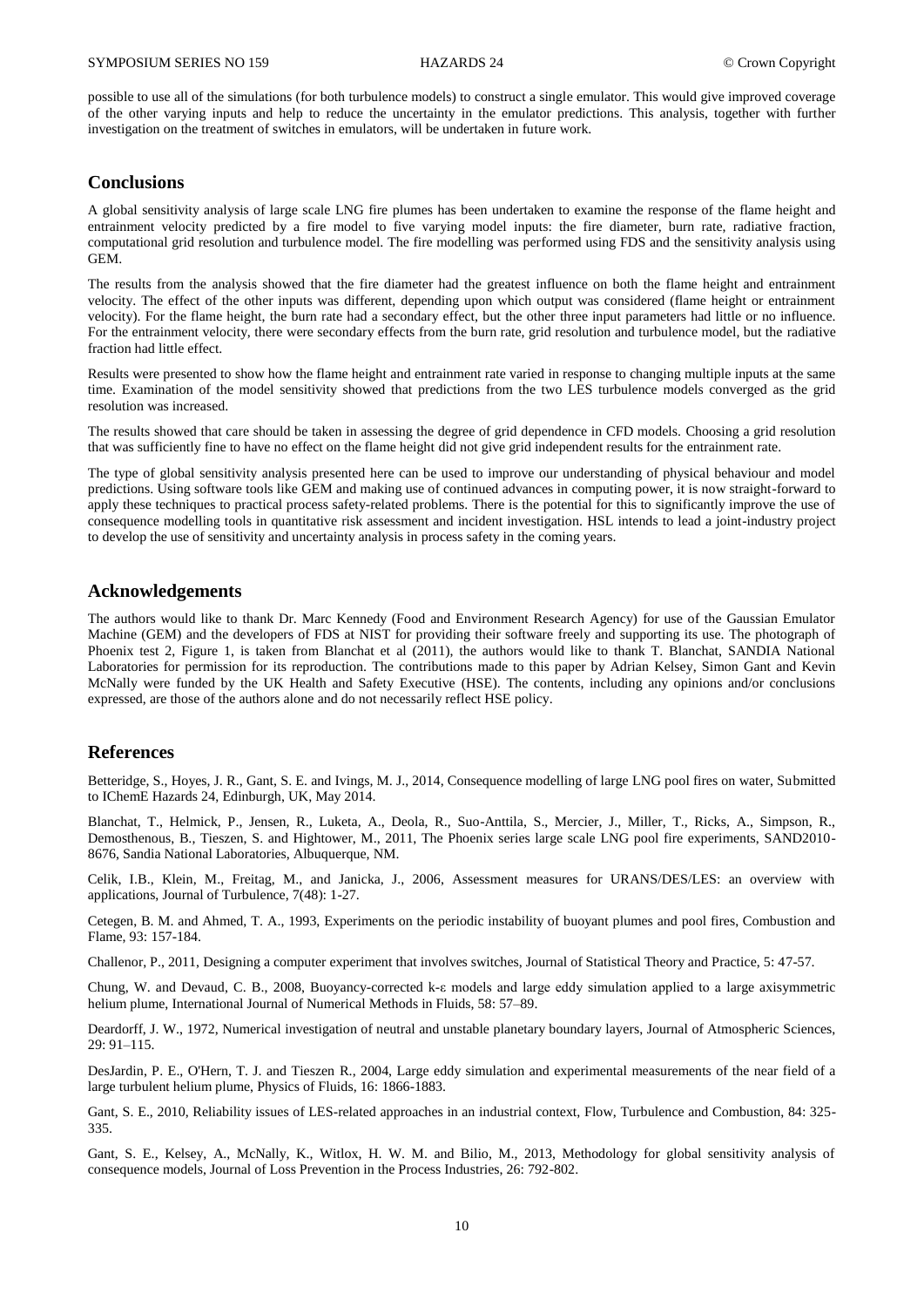possible to use all of the simulations (for both turbulence models) to construct a single emulator. This would give improved coverage of the other varying inputs and help to reduce the uncertainty in the emulator predictions. This analysis, together with further investigation on the treatment of switches in emulators, will be undertaken in future work.

# **Conclusions**

A global sensitivity analysis of large scale LNG fire plumes has been undertaken to examine the response of the flame height and entrainment velocity predicted by a fire model to five varying model inputs: the fire diameter, burn rate, radiative fraction, computational grid resolution and turbulence model. The fire modelling was performed using FDS and the sensitivity analysis using GEM.

The results from the analysis showed that the fire diameter had the greatest influence on both the flame height and entrainment velocity. The effect of the other inputs was different, depending upon which output was considered (flame height or entrainment velocity). For the flame height, the burn rate had a secondary effect, but the other three input parameters had little or no influence. For the entrainment velocity, there were secondary effects from the burn rate, grid resolution and turbulence model, but the radiative fraction had little effect.

Results were presented to show how the flame height and entrainment rate varied in response to changing multiple inputs at the same time. Examination of the model sensitivity showed that predictions from the two LES turbulence models converged as the grid resolution was increased.

The results showed that care should be taken in assessing the degree of grid dependence in CFD models. Choosing a grid resolution that was sufficiently fine to have no effect on the flame height did not give grid independent results for the entrainment rate.

The type of global sensitivity analysis presented here can be used to improve our understanding of physical behaviour and model predictions. Using software tools like GEM and making use of continued advances in computing power, it is now straight-forward to apply these techniques to practical process safety-related problems. There is the potential for this to significantly improve the use of consequence modelling tools in quantitative risk assessment and incident investigation. HSL intends to lead a joint-industry project to develop the use of sensitivity and uncertainty analysis in process safety in the coming years.

# **Acknowledgements**

The authors would like to thank Dr. Marc Kennedy (Food and Environment Research Agency) for use of the Gaussian Emulator Machine (GEM) and the developers of FDS at NIST for providing their software freely and supporting its use. The photograph of Phoenix test 2, Figure 1, is taken from Blanchat et al (2011), the authors would like to thank T. Blanchat, SANDIA National Laboratories for permission for its reproduction. The contributions made to this paper by Adrian Kelsey, Simon Gant and Kevin McNally were funded by the UK Health and Safety Executive (HSE). The contents, including any opinions and/or conclusions expressed, are those of the authors alone and do not necessarily reflect HSE policy.

# **References**

Betteridge, S., Hoyes, J. R., Gant, S. E. and Ivings, M. J., 2014, Consequence modelling of large LNG pool fires on water, Submitted to IChemE Hazards 24, Edinburgh, UK, May 2014.

Blanchat, T., Helmick, P., Jensen, R., Luketa, A., Deola, R., Suo-Anttila, S., Mercier, J., Miller, T., Ricks, A., Simpson, R., Demosthenous, B., Tieszen, S. and Hightower, M., 2011, The Phoenix series large scale LNG pool fire experiments, SAND2010- 8676, Sandia National Laboratories, Albuquerque, NM.

Celik, I.B., Klein, M., Freitag, M., and Janicka, J., 2006, Assessment measures for URANS/DES/LES: an overview with applications, Journal of Turbulence, 7(48): 1-27.

Cetegen, B. M. and Ahmed, T. A., 1993, Experiments on the periodic instability of buoyant plumes and pool fires, Combustion and Flame, 93: 157-184.

Challenor, P., 2011, Designing a computer experiment that involves switches, Journal of Statistical Theory and Practice, 5: 47-57.

Chung, W. and Devaud, C. B., 2008, Buoyancy-corrected k-ε models and large eddy simulation applied to a large axisymmetric helium plume, International Journal of Numerical Methods in Fluids, 58: 57–89.

Deardorff, J. W., 1972, Numerical investigation of neutral and unstable planetary boundary layers, Journal of Atmospheric Sciences, 29: 91–115.

DesJardin, P. E., O'Hern, T. J. and Tieszen R., 2004, Large eddy simulation and experimental measurements of the near field of a large turbulent helium plume, Physics of Fluids, 16: 1866-1883.

Gant, S. E., 2010, Reliability issues of LES-related approaches in an industrial context, Flow, Turbulence and Combustion, 84: 325- 335.

Gant, S. E., Kelsey, A., McNally, K., Witlox, H. W. M. and Bilio, M., 2013, Methodology for global sensitivity analysis of consequence models, Journal of Loss Prevention in the Process Industries, 26: 792-802.